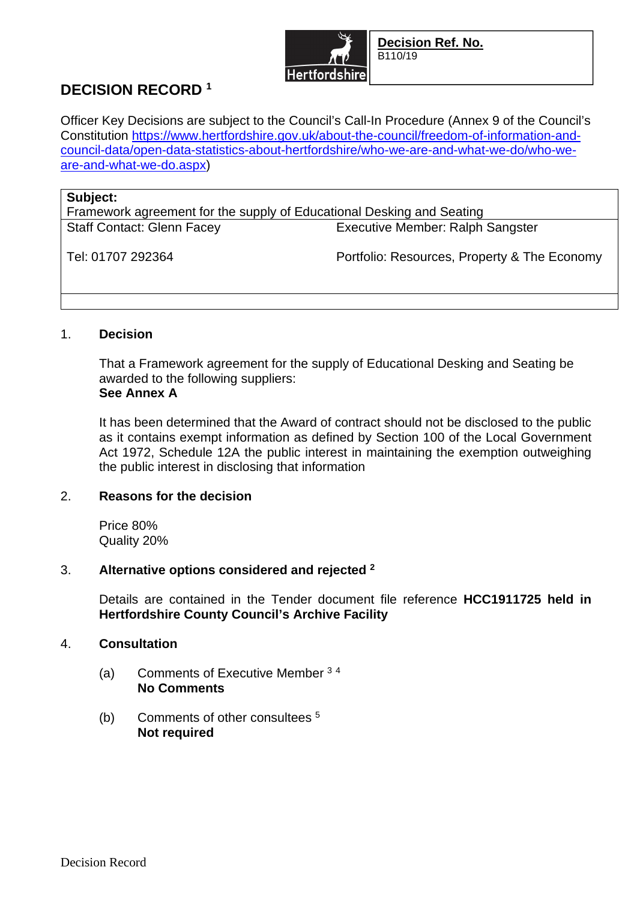

# **DECISION RECORD <sup>1</sup>**

Officer Key Decisions are subject to the Council's Call-In Procedure (Annex 9 of the Council's Constitution https://www.hertfordshire.gov.uk/about-the-council/freedom-of-information-andcouncil-data/open-data-statistics-about-hertfordshire/who-we-are-and-what-we-do/who-weare-and-what-we-do.aspx)

#### **Subject:**

Framework agreement for the supply of Educational Desking and Seating Staff Contact: Glenn Facey Executive Member: Ralph Sangster

Tel: 01707 292364 Portfolio: Resources, Property & The Economy

# 1. **Decision**

That a Framework agreement for the supply of Educational Desking and Seating be awarded to the following suppliers: **See Annex A** 

It has been determined that the Award of contract should not be disclosed to the public as it contains exempt information as defined by Section 100 of the Local Government Act 1972, Schedule 12A the public interest in maintaining the exemption outweighing the public interest in disclosing that information

# 2. **Reasons for the decision**

Price 80% Quality 20%

# 3. **Alternative options considered and rejected <sup>2</sup>**

Details are contained in the Tender document file reference **HCC1911725 held in Hertfordshire County Council's Archive Facility**

# 4. **Consultation**

- (a) Comments of Executive Member <sup>3</sup> <sup>4</sup> **No Comments**
- (b) Comments of other consultees <sup>5</sup> **Not required**